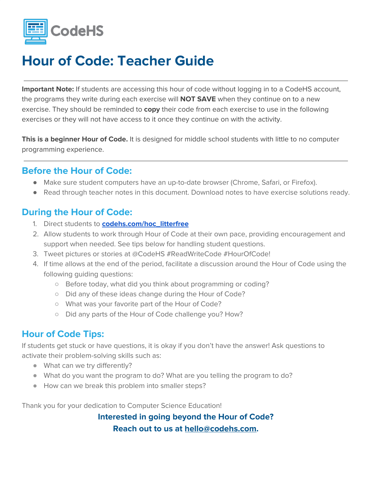

**Important Note:** If students are accessing this hour of code without logging in to a CodeHS account, the programs they write during each exercise will **NOT SAVE** when they continue on to a new exercise. They should be reminded to **copy** their code from each exercise to use in the following exercises or they will not have access to it once they continue on with the activity.

**This is a beginner Hour of Code.** It is designed for middle school students with little to no computer programming experience.

#### **Before the Hour of Code:**

- Make sure student computers have an up-to-date browser (Chrome, Safari, or Firefox).
- Read through teacher notes in this document. Download notes to have exercise solutions ready.

#### **During the Hour of Code:**

- 1. Direct students to **[codehs.com/hoc\\_litterfree](http://codehs.com/hoc_litterfree)**
- 2. Allow students to work through Hour of Code at their own pace, providing encouragement and support when needed. See tips below for handling student questions.
- 3. Tweet pictures or stories at @CodeHS #ReadWriteCode #HourOfCode!
- 4. If time allows at the end of the period, facilitate a discussion around the Hour of Code using the following guiding questions:
	- Before today, what did you think about programming or coding?
	- Did any of these ideas change during the Hour of Code?
	- What was your favorite part of the Hour of Code?
	- Did any parts of the Hour of Code challenge you? How?

#### **Hour of Code Tips:**

If students get stuck or have questions, it is okay if you don't have the answer! Ask questions to activate their problem-solving skills such as:

- What can we try differently?
- What do you want the program to do? What are you telling the program to do?
- How can we break this problem into smaller steps?

Thank you for your dedication to Computer Science Education!

**Interested in going beyond the Hour of Code? Reach out to us at [hello@codehs.com](mailto:hello@codehs.com).**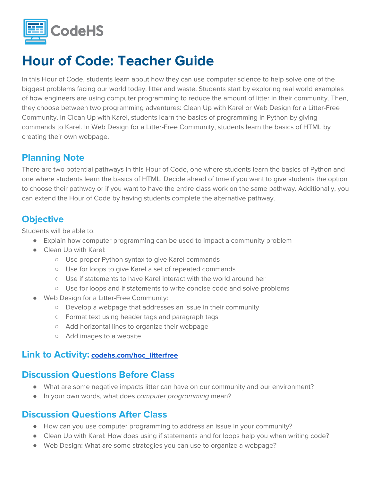

In this Hour of Code, students learn about how they can use computer science to help solve one of the biggest problems facing our world today: litter and waste. Students start by exploring real world examples of how engineers are using computer programming to reduce the amount of litter in their community. Then, they choose between two programming adventures: Clean Up with Karel or Web Design for a Litter-Free Community. In Clean Up with Karel, students learn the basics of programming in Python by giving commands to Karel. In Web Design for a Litter-Free Community, students learn the basics of HTML by creating their own webpage.

#### **Planning Note**

There are two potential pathways in this Hour of Code, one where students learn the basics of Python and one where students learn the basics of HTML. Decide ahead of time if you want to give students the option to choose their pathway or if you want to have the entire class work on the same pathway. Additionally, you can extend the Hour of Code by having students complete the alternative pathway.

#### **Objective**

Students will be able to:

- Explain how computer programming can be used to impact a community problem
- Clean Up with Karel:
	- Use proper Python syntax to give Karel commands
	- Use for loops to give Karel a set of repeated commands
	- Use if statements to have Karel interact with the world around her
	- Use for loops and if statements to write concise code and solve problems
- Web Design for a Litter-Free Community:
	- Develop a webpage that addresses an issue in their community
	- Format text using header tags and paragraph tags
	- Add horizontal lines to organize their webpage
	- Add images to a website

#### **Link to Activity: [codehs.com/hoc\\_litterfree](http://codehs.com/hoc_litterfree)**

#### **Discussion Questions Before Class**

- What are some negative impacts litter can have on our community and our environment?
- In your own words, what does computer programming mean?

#### **Discussion Questions After Class**

- How can you use computer programming to address an issue in your community?
- Clean Up with Karel: How does using if statements and for loops help you when writing code?
- Web Design: What are some strategies you can use to organize a webpage?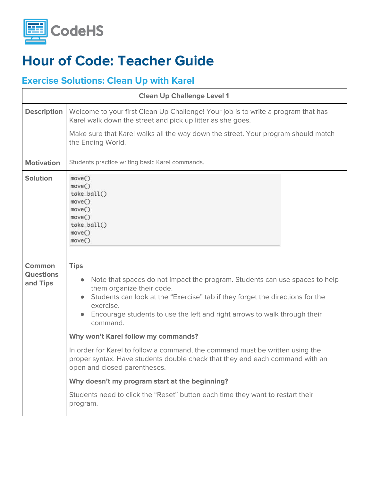

#### **Exercise Solutions: Clean Up with Karel**

| <b>Clean Up Challenge Level 1</b>      |                                                                                                                                                                                                                                                                                                                |
|----------------------------------------|----------------------------------------------------------------------------------------------------------------------------------------------------------------------------------------------------------------------------------------------------------------------------------------------------------------|
| <b>Description</b>                     | Welcome to your first Clean Up Challenge! Your job is to write a program that has<br>Karel walk down the street and pick up litter as she goes.                                                                                                                                                                |
|                                        | Make sure that Karel walks all the way down the street. Your program should match<br>the Ending World.                                                                                                                                                                                                         |
| <b>Motivation</b>                      | Students practice writing basic Karel commands.                                                                                                                                                                                                                                                                |
| <b>Solution</b>                        | move()<br>move()<br>take_ball()<br>move()<br>move()<br>move()<br>take_ball()<br>move()<br>move()                                                                                                                                                                                                               |
| Common<br><b>Questions</b><br>and Tips | <b>Tips</b><br>Note that spaces do not impact the program. Students can use spaces to help<br>them organize their code.<br>Students can look at the "Exercise" tab if they forget the directions for the<br>exercise.<br>Encourage students to use the left and right arrows to walk through their<br>command. |
|                                        | Why won't Karel follow my commands?                                                                                                                                                                                                                                                                            |
|                                        | In order for Karel to follow a command, the command must be written using the<br>proper syntax. Have students double check that they end each command with an<br>open and closed parentheses.                                                                                                                  |
|                                        | Why doesn't my program start at the beginning?                                                                                                                                                                                                                                                                 |
|                                        | Students need to click the "Reset" button each time they want to restart their<br>program.                                                                                                                                                                                                                     |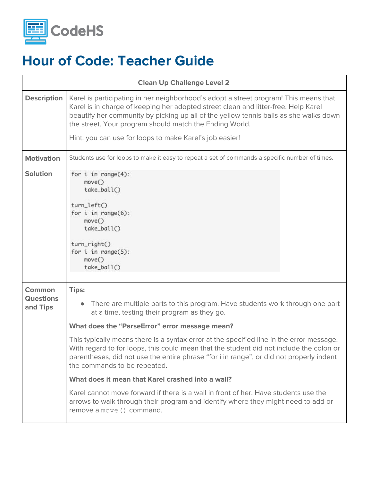

| <b>Clean Up Challenge Level 2</b>             |                                                                                                                                                                                                                                                                                                                                                                                                                                                                                                                                                                                                                                                                                                                                                                                 |
|-----------------------------------------------|---------------------------------------------------------------------------------------------------------------------------------------------------------------------------------------------------------------------------------------------------------------------------------------------------------------------------------------------------------------------------------------------------------------------------------------------------------------------------------------------------------------------------------------------------------------------------------------------------------------------------------------------------------------------------------------------------------------------------------------------------------------------------------|
| <b>Description</b>                            | Karel is participating in her neighborhood's adopt a street program! This means that<br>Karel is in charge of keeping her adopted street clean and litter-free. Help Karel<br>beautify her community by picking up all of the yellow tennis balls as she walks down<br>the street. Your program should match the Ending World.<br>Hint: you can use for loops to make Karel's job easier!                                                                                                                                                                                                                                                                                                                                                                                       |
| <b>Motivation</b>                             | Students use for loops to make it easy to repeat a set of commands a specific number of times.                                                                                                                                                                                                                                                                                                                                                                                                                                                                                                                                                                                                                                                                                  |
| <b>Solution</b>                               | for $i$ in range $(4)$ :<br>move()<br>take_ball()<br>turn_left()<br>for $i$ in range $(6)$ :<br>move()<br>take_ball()<br>turn_right()<br>for $i$ in range $(5)$ :<br>move()<br>take_ball()                                                                                                                                                                                                                                                                                                                                                                                                                                                                                                                                                                                      |
| <b>Common</b><br><b>Questions</b><br>and Tips | <b>Tips:</b><br>There are multiple parts to this program. Have students work through one part<br>at a time, testing their program as they go.<br>What does the "ParseError" error message mean?<br>This typically means there is a syntax error at the specified line in the error message.<br>With regard to for loops, this could mean that the student did not include the colon or<br>parentheses, did not use the entire phrase "for i in range", or did not properly indent<br>the commands to be repeated.<br>What does it mean that Karel crashed into a wall?<br>Karel cannot move forward if there is a wall in front of her. Have students use the<br>arrows to walk through their program and identify where they might need to add or<br>remove a move () command. |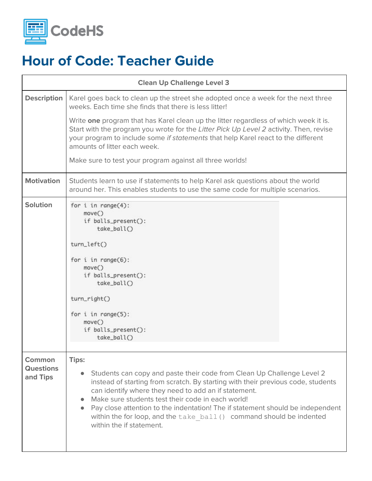

| <b>Clean Up Challenge Level 3</b>             |                                                                                                                                                                                                                                                                                                                                                                                                                                                                               |
|-----------------------------------------------|-------------------------------------------------------------------------------------------------------------------------------------------------------------------------------------------------------------------------------------------------------------------------------------------------------------------------------------------------------------------------------------------------------------------------------------------------------------------------------|
| <b>Description</b>                            | Karel goes back to clean up the street she adopted once a week for the next three<br>weeks. Each time she finds that there is less litter!                                                                                                                                                                                                                                                                                                                                    |
|                                               | Write one program that has Karel clean up the litter regardless of which week it is.<br>Start with the program you wrote for the Litter Pick Up Level 2 activity. Then, revise<br>your program to include some if statements that help Karel react to the different<br>amounts of litter each week.                                                                                                                                                                           |
|                                               | Make sure to test your program against all three worlds!                                                                                                                                                                                                                                                                                                                                                                                                                      |
| <b>Motivation</b>                             | Students learn to use if statements to help Karel ask questions about the world<br>around her. This enables students to use the same code for multiple scenarios.                                                                                                                                                                                                                                                                                                             |
| <b>Solution</b>                               | for $i$ in range $(4)$ :<br>move()<br>if balls_present():<br>take_ball()<br>turn_left()<br>for $i$ in range $(6)$ :<br>move()<br>if balls_present():<br>take_ball()<br>turn_right()<br>for $i$ in range $(5)$ :<br>move()<br>if balls_present():<br>take_ball()                                                                                                                                                                                                               |
| <b>Common</b><br><b>Questions</b><br>and Tips | <b>Tips:</b><br>Students can copy and paste their code from Clean Up Challenge Level 2<br>instead of starting from scratch. By starting with their previous code, students<br>can identify where they need to add an if statement.<br>Make sure students test their code in each world!<br>Pay close attention to the indentation! The if statement should be independent<br>within the for loop, and the take ball () command should be indented<br>within the if statement. |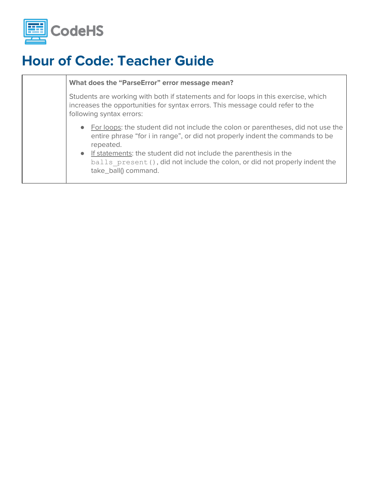

#### **What does the "ParseError" error message mean?**

Students are working with both if statements and for loops in this exercise, which increases the opportunities for syntax errors. This message could refer to the following syntax errors:

- For loops: the student did not include the colon or parentheses, did not use the entire phrase "for i in range", or did not properly indent the commands to be repeated.
- If statements: the student did not include the parenthesis in the balls present (), did not include the colon, or did not properly indent the take\_ball() command.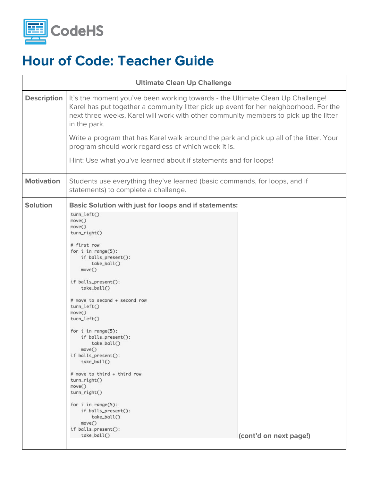

| <b>Ultimate Clean Up Challenge</b> |                                                                                                                                                                                                                                                                                                                                                                                                                                                                                                                                                                                                                                               |                        |
|------------------------------------|-----------------------------------------------------------------------------------------------------------------------------------------------------------------------------------------------------------------------------------------------------------------------------------------------------------------------------------------------------------------------------------------------------------------------------------------------------------------------------------------------------------------------------------------------------------------------------------------------------------------------------------------------|------------------------|
| <b>Description</b>                 | It's the moment you've been working towards - the Ultimate Clean Up Challenge!<br>Karel has put together a community litter pick up event for her neighborhood. For the<br>next three weeks, Karel will work with other community members to pick up the litter<br>in the park.                                                                                                                                                                                                                                                                                                                                                               |                        |
|                                    | Write a program that has Karel walk around the park and pick up all of the litter. Your<br>program should work regardless of which week it is.                                                                                                                                                                                                                                                                                                                                                                                                                                                                                                |                        |
|                                    | Hint: Use what you've learned about if statements and for loops!                                                                                                                                                                                                                                                                                                                                                                                                                                                                                                                                                                              |                        |
| <b>Motivation</b>                  | Students use everything they've learned (basic commands, for loops, and if<br>statements) to complete a challenge.                                                                                                                                                                                                                                                                                                                                                                                                                                                                                                                            |                        |
| <b>Solution</b>                    | <b>Basic Solution with just for loops and if statements:</b><br>turn_left()<br>move()<br>move()<br>turn_right()<br># first row<br>for $i$ in range $(5)$ :<br>if balls_present():<br>take_ball()<br>move()<br>if balls_present():<br>take_ball()<br># move to second + second row<br>turn_left()<br>move()<br>turn_left()<br>for $i$ in range $(5)$ :<br>if balls_present():<br>$take$ $ball()$<br>move()<br>if balls_present():<br>take_ball()<br># move to third + third row<br>$turn\_right()$<br>move()<br>turn_right()<br>for $i$ in range $(5)$ :<br>if balls_present():<br>take_ball()<br>move()<br>if balls_present():<br>take_ball() | (cont'd on next page!) |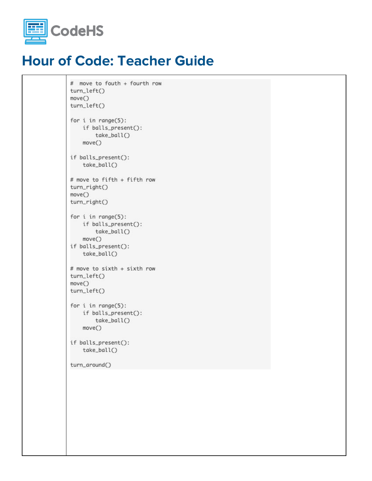

```
# move to fouth + fourth row
turn_left()
move()turn_left()
for i in range(5):
   if balls_present():
       take_ball()
   move()if balls_present():
   take_ball()
# move to fifth + fifth row
turn_right()
move()turn_right()
for i in range(5):
   if balls_present():
       take_ball()
   move()if balls_present():
   take_ball()
# move to sixth + sixth row
turn_left()
move()
turn_left()
for i in range(5):
   if balls_present():
        take_ball()
   move()
if balls_present():
    take_ball()
turn_around()
```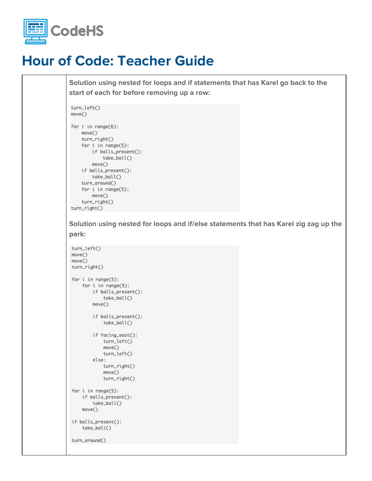

**Solution using nested for loops and if statements that has Karel go back to the start of each for before removing up a row:**

```
turn_left()
move()
```

```
for i in range(6):
   move()turn_right()
   for i in range(5):
       if balls_present():
           take_ball()
       move()if balls_present():
       take_ball()
    turn_around()
    for i in range(5):
       move()turn_right()
turn_right()
```
**Solution using nested for loops and if/else statements that has Karel zig zag up the park:**

```
turn_left()
move()move()
turn_right()
for i in range(5):
    for i in range(5):
       if balls_present():
           take_ball()
       move()if balls_present():
           take ball()
        if facing_east():
           turn_left()
           move()turn_left()
        else:
           turn_right()
            move()turn_right()
for i in range(5):
    if balls_present():
       take_ball()
    move()if balls_present():
    take_ball()
turn_around()
```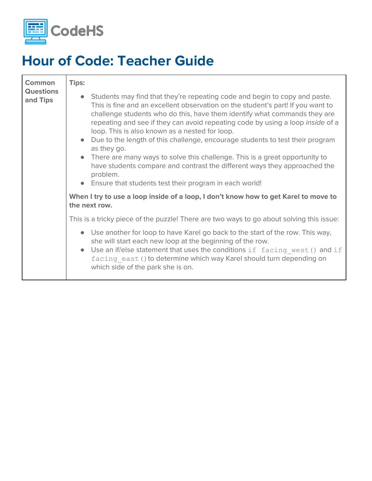

| <b>Common</b><br><b>Questions</b><br>and Tips | Tips:<br>• Students may find that they're repeating code and begin to copy and paste.<br>This is fine and an excellent observation on the student's part! If you want to<br>challenge students who do this, have them identify what commands they are<br>repeating and see if they can avoid repeating code by using a loop inside of a<br>loop. This is also known as a nested for loop.<br>• Due to the length of this challenge, encourage students to test their program<br>as they go.<br>• There are many ways to solve this challenge. This is a great opportunity to<br>have students compare and contrast the different ways they approached the<br>problem.<br>• Ensure that students test their program in each world! |
|-----------------------------------------------|-----------------------------------------------------------------------------------------------------------------------------------------------------------------------------------------------------------------------------------------------------------------------------------------------------------------------------------------------------------------------------------------------------------------------------------------------------------------------------------------------------------------------------------------------------------------------------------------------------------------------------------------------------------------------------------------------------------------------------------|
|                                               | When I try to use a loop inside of a loop, I don't know how to get Karel to move to<br>the next row.                                                                                                                                                                                                                                                                                                                                                                                                                                                                                                                                                                                                                              |
|                                               | This is a tricky piece of the puzzle! There are two ways to go about solving this issue:                                                                                                                                                                                                                                                                                                                                                                                                                                                                                                                                                                                                                                          |
|                                               | Use another for loop to have Karel go back to the start of the row. This way,<br>she will start each new loop at the beginning of the row.<br>Use an if/else statement that uses the conditions if facing west () and if<br>$\bullet$<br>facing east () to determine which way Karel should turn depending on<br>which side of the park she is on.                                                                                                                                                                                                                                                                                                                                                                                |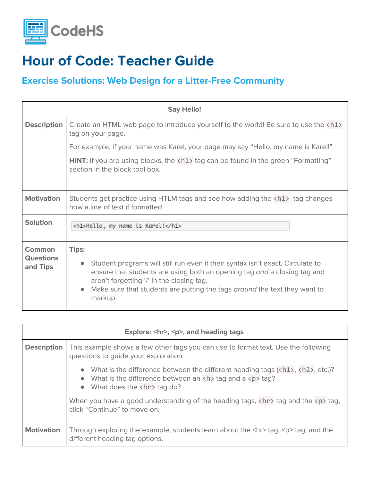

#### **Exercise Solutions: Web Design for a Litter-Free Community**

| <b>Say Hello!</b>                      |                                                                                                                                                                                                                                                                                                                                           |
|----------------------------------------|-------------------------------------------------------------------------------------------------------------------------------------------------------------------------------------------------------------------------------------------------------------------------------------------------------------------------------------------|
| <b>Description</b>                     | Create an HTML web page to introduce yourself to the world! Be sure to use the <h1><br/>tag on your page.</h1>                                                                                                                                                                                                                            |
|                                        | For example, if your name was Karel, your page may say "Hello, my name is Karel!"                                                                                                                                                                                                                                                         |
|                                        | <b>HINT:</b> If you are using blocks, the <h1> tag can be found in the green "Formatting"<br/>section in the block tool box.</h1>                                                                                                                                                                                                         |
| <b>Motivation</b>                      | Students get practice using HTLM tags and see how adding the <h1> tag changes<br/>how a line of text if formatted.</h1>                                                                                                                                                                                                                   |
| <b>Solution</b>                        | <h1>Hello, my name is Karel!</h1>                                                                                                                                                                                                                                                                                                         |
| Common<br><b>Questions</b><br>and Tips | <b>Tips:</b><br>Student programs will still run even if their syntax isn't exact. Circulate to<br>$\bullet$<br>ensure that students are using both an opening tag and a closing tag and<br>aren't forgetting '/' in the closing tag.<br>Make sure that students are putting the tags around the text they want to<br>$\bullet$<br>markup. |

| Explore: <hr/> , <p>, and heading tags</p> |                                                                                                                                                                                                                                                              |
|--------------------------------------------|--------------------------------------------------------------------------------------------------------------------------------------------------------------------------------------------------------------------------------------------------------------|
| <b>Description</b>                         | This example shows a few other tags you can use to format text. Use the following<br>questions to guide your exploration:                                                                                                                                    |
|                                            | • What is the difference between the different heading tags $(\langle h1 \rangle, \langle h2 \rangle, \text{etc.})$ ?<br>• What is the difference between an $\langle h \rangle$ tag and a $\langle p \rangle$ tag?<br>$\bullet$ What does the <hr/> tag do? |
|                                            | When you have a good understanding of the heading tags, $\langle h \rangle$ tag and the $\langle p \rangle$ tag,<br>click "Continue" to move on.                                                                                                             |
| <b>Motivation</b>                          | Through exploring the example, students learn about the $\langle h \rangle$ tag, $\langle p \rangle$ tag, and the<br>different heading tag options.                                                                                                          |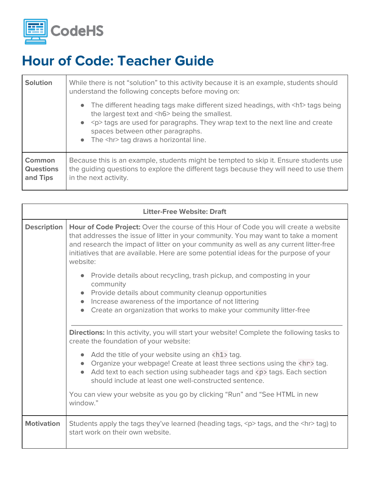

| <b>Solution</b>                               | While there is not "solution" to this activity because it is an example, students should<br>understand the following concepts before moving on:                                                                                                                                                                          |
|-----------------------------------------------|--------------------------------------------------------------------------------------------------------------------------------------------------------------------------------------------------------------------------------------------------------------------------------------------------------------------------|
|                                               | • The different heading tags make different sized headings, with <h1> tags being<br/>the largest text and <h6> being the smallest.<br/>• &lt; p&gt; tags are used for paragraphs. They wrap text to the next line and create<br/>spaces between other paragraphs.<br/>• The <hr/> tag draws a horizontal line.</h6></h1> |
| <b>Common</b><br><b>Questions</b><br>and Tips | Because this is an example, students might be tempted to skip it. Ensure students use<br>the guiding questions to explore the different tags because they will need to use them<br>in the next activity.                                                                                                                 |

| <b>Litter-Free Website: Draft</b> |                                                                                                                                                                                                                                                                                                                                                                                   |
|-----------------------------------|-----------------------------------------------------------------------------------------------------------------------------------------------------------------------------------------------------------------------------------------------------------------------------------------------------------------------------------------------------------------------------------|
| <b>Description</b>                | <b>Hour of Code Project:</b> Over the course of this Hour of Code you will create a website<br>that addresses the issue of litter in your community. You may want to take a moment<br>and research the impact of litter on your community as well as any current litter-free<br>initiatives that are available. Here are some potential ideas for the purpose of your<br>website: |
|                                   | Provide details about recycling, trash pickup, and composting in your<br>community<br>Provide details about community cleanup opportunities<br>Increase awareness of the importance of not littering<br>Create an organization that works to make your community litter-free                                                                                                      |
|                                   | <b>Directions:</b> In this activity, you will start your website! Complete the following tasks to<br>create the foundation of your website:                                                                                                                                                                                                                                       |
|                                   | Add the title of your website using an <h1> tag.<br/>Organize your webpage! Create at least three sections using the <hr/> tag.<br/>Add text to each section using subheader tags and <p> tags. Each section<br/>should include at least one well-constructed sentence.</p></h1>                                                                                                  |
|                                   | You can view your website as you go by clicking "Run" and "See HTML in new<br>window."                                                                                                                                                                                                                                                                                            |
| <b>Motivation</b>                 | Students apply the tags they've learned (heading tags, <p> tags, and the <hr/> tag) to<br/>start work on their own website.</p>                                                                                                                                                                                                                                                   |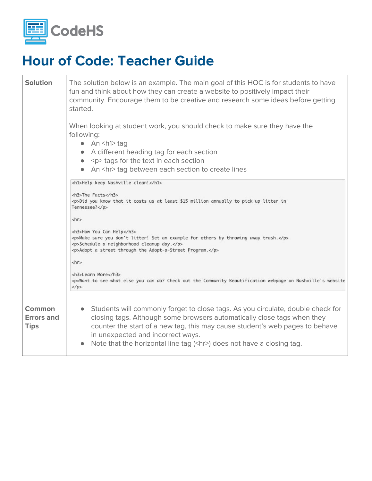

| <b>Solution</b>                            | The solution below is an example. The main goal of this HOC is for students to have<br>fun and think about how they can create a website to positively impact their<br>community. Encourage them to be creative and research some ideas before getting<br>started.<br>When looking at student work, you should check to make sure they have the<br>following:<br>$\bullet$ An <h1>tag<br/>• A different heading tag for each section<br/><math>\bullet</math> <p>tags for the text in each section<br/>• An <hr/> tag between each section to create lines<br/><h1>Help keep Nashville clean!</h1><br/><h3>The Facts</h3><br/><p>Did you know that it costs us at least \$15 million annually to pick up litter in<br/>Tennessee?</p><br/><math>\langle h r \rangle</math><br/><h3>How You Can Help</h3><br/><p>Make sure you don't litter! Set an example for others by throwing away trash.</p><br/><p>Schedule a neighborhood cleanup day.</p><br/><p>Adopt a street through the Adopt-a-Street Program.</p><br/><math>\langle</math>hr&gt;<br/><h3>Learn More</h3></p></h1> |
|--------------------------------------------|---------------------------------------------------------------------------------------------------------------------------------------------------------------------------------------------------------------------------------------------------------------------------------------------------------------------------------------------------------------------------------------------------------------------------------------------------------------------------------------------------------------------------------------------------------------------------------------------------------------------------------------------------------------------------------------------------------------------------------------------------------------------------------------------------------------------------------------------------------------------------------------------------------------------------------------------------------------------------------------------------------------------------------------------------------------------------------|
|                                            | <p>Want to see what else you can do? Check out the Community Beautification webpage on Nashville's website<br/><math>\langle</math>/p&gt;</p>                                                                                                                                                                                                                                                                                                                                                                                                                                                                                                                                                                                                                                                                                                                                                                                                                                                                                                                                   |
| <b>Common</b><br>Errors and<br><b>Tips</b> | Students will commonly forget to close tags. As you circulate, double check for<br>$\bullet$<br>closing tags. Although some browsers automatically close tags when they<br>counter the start of a new tag, this may cause student's web pages to behave<br>in unexpected and incorrect ways.<br>Note that the horizontal line tag ( <hr/> ) does not have a closing tag.                                                                                                                                                                                                                                                                                                                                                                                                                                                                                                                                                                                                                                                                                                        |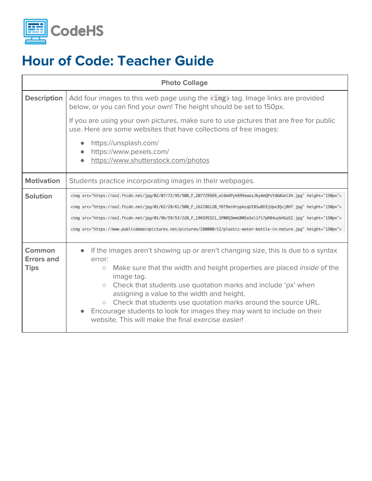

| <b>Photo Collage</b>                       |                                                                                                                                                                                                                                                                                                                                                                                                                                                                                                                                               |
|--------------------------------------------|-----------------------------------------------------------------------------------------------------------------------------------------------------------------------------------------------------------------------------------------------------------------------------------------------------------------------------------------------------------------------------------------------------------------------------------------------------------------------------------------------------------------------------------------------|
| <b>Description</b>                         | Add four images to this web page using the <img/> tag. Image links are provided<br>below, or you can find your own! The height should be set to 150px.                                                                                                                                                                                                                                                                                                                                                                                        |
|                                            | If you are using your own pictures, make sure to use pictures that are free for public<br>use. Here are some websites that have collections of free images:                                                                                                                                                                                                                                                                                                                                                                                   |
|                                            | https://unsplash.com/<br>https://www.pexels.com/<br>https://www.shutterstock.com/photos                                                                                                                                                                                                                                                                                                                                                                                                                                                       |
| <b>Motivation</b>                          | Students practice incorporating images in their webpages.                                                                                                                                                                                                                                                                                                                                                                                                                                                                                     |
| <b>Solution</b>                            | <img height="150px" src="https://as2.ftcdn.net/jpg/02/07/72/95/500_F_207729569_ai6mXPyV69VeaosJKyAmQPsYd6AUelZ4.jpg"/><br><img height="150px" src="https://as2.ftcdn.net/jpg/01/62/28/61/500_F_162286120_Y6T9aiHrypkcqUI8SuBD3jUpx3Qvj8H7.jpg"/><br><img height="150px" src="https://as2.ftcdn.net/jpg/01/96/59/53/220_F_196595321_SPW8Q3mmGBWSoSellf17pR84uzkHGzEZ.jpg"/><br><img height="150px" src="https://www.publicdomainpictures.net/pictures/280000/t2/plastic-water-bottle-in-nature.jpg"/>                                          |
| Common<br><b>Errors and</b><br><b>Tips</b> | If the images aren't showing up or aren't changing size, this is due to a syntax<br>error:<br>Make sure that the width and height properties are placed <i>inside</i> of the<br>$\circ$<br>image tag.<br>Check that students use quotation marks and include 'px' when<br>$\circ$<br>assigning a value to the width and height.<br>Check that students use quotation marks around the source URL.<br>$\circ$<br>Encourage students to look for images they may want to include on their<br>website. This will make the final exercise easier! |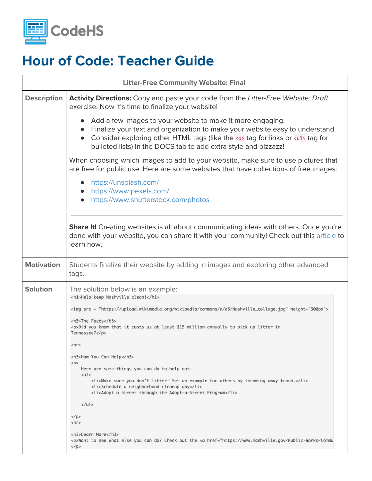

|                    | <b>Litter-Free Community Website: Final</b>                                                                                                                                                                                                                                                                                                                                                                                                                                                                                                                                                                                                                                                                                                                                                                                                                                                    |  |
|--------------------|------------------------------------------------------------------------------------------------------------------------------------------------------------------------------------------------------------------------------------------------------------------------------------------------------------------------------------------------------------------------------------------------------------------------------------------------------------------------------------------------------------------------------------------------------------------------------------------------------------------------------------------------------------------------------------------------------------------------------------------------------------------------------------------------------------------------------------------------------------------------------------------------|--|
| <b>Description</b> | <b>Activity Directions:</b> Copy and paste your code from the Litter-Free Website: Draft<br>exercise. Now it's time to finalize your website!                                                                                                                                                                                                                                                                                                                                                                                                                                                                                                                                                                                                                                                                                                                                                  |  |
|                    | Add a few images to your website to make it more engaging.<br>Finalize your text and organization to make your website easy to understand.<br>Consider exploring other HTML tags (like the $\langle a \rangle$ tag for links or $\langle u1 \rangle$ tag for<br>bulleted lists) in the DOCS tab to add extra style and pizzazz!                                                                                                                                                                                                                                                                                                                                                                                                                                                                                                                                                                |  |
|                    | When choosing which images to add to your website, make sure to use pictures that<br>are free for public use. Here are some websites that have collections of free images:                                                                                                                                                                                                                                                                                                                                                                                                                                                                                                                                                                                                                                                                                                                     |  |
|                    | https://unsplash.com/<br>https://www.pexels.com/<br>https://www.shutterstock.com/photos                                                                                                                                                                                                                                                                                                                                                                                                                                                                                                                                                                                                                                                                                                                                                                                                        |  |
|                    | <b>Share It!</b> Creating websites is all about communicating ideas with others. Once you're<br>done with your website, you can share it with your community! Check out this article to<br>learn how.                                                                                                                                                                                                                                                                                                                                                                                                                                                                                                                                                                                                                                                                                          |  |
| <b>Motivation</b>  | Students finalize their website by adding in images and exploring other advanced<br>tags.                                                                                                                                                                                                                                                                                                                                                                                                                                                                                                                                                                                                                                                                                                                                                                                                      |  |
| <b>Solution</b>    | The solution below is an example:<br><h1>Help keep Nashville clean!</h1><br><img height="300px" src="https://upload.wikimedia.org/wikipedia/commons/a/a5/Nashville_collage.jpg"/><br><h3>The Facts</h3><br><p>Did you know that it costs us at least \$15 million annually to pick up litter in<br/>Tennessee?</p><br>$\langle h r \rangle$<br><h3>How You Can Help</h3><br>< p ><br>Here are some things you can do to help out:<br>$<$ ul><br><li>Make sure you don't litter! Set an example for others by throwing away trash.</li><br><li>Schedule a neighborhood cleanup day</li><br><li>Adopt a street through the Adopt-a-Street Program</li><br>$\langle$ /ul><br>$\langle$ /p><br>$\langle h r \rangle$<br><h3>Learn More</h3><br><p>Want to see what else you can do? Check out the &lt;a href="https://www.nashville.gov/Public-Works/Commu&lt;br&gt;<math>\langle</math>/p&gt;</p> |  |